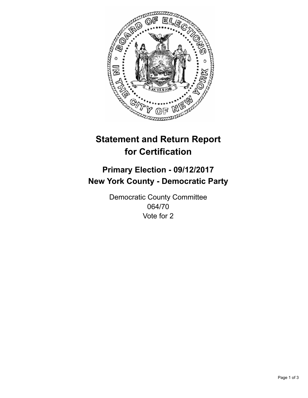

## **Statement and Return Report for Certification**

## **Primary Election - 09/12/2017 New York County - Democratic Party**

Democratic County Committee 064/70 Vote for 2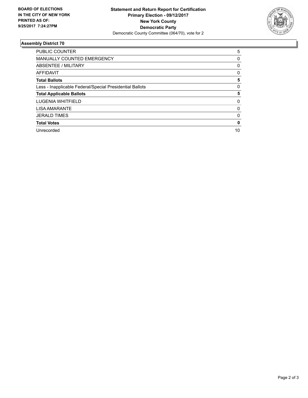

## **Assembly District 70**

| PUBLIC COUNTER                                           | 5           |
|----------------------------------------------------------|-------------|
| <b>MANUALLY COUNTED EMERGENCY</b>                        | 0           |
| ABSENTEE / MILITARY                                      | 0           |
| <b>AFFIDAVIT</b>                                         | 0           |
| <b>Total Ballots</b>                                     | 5           |
| Less - Inapplicable Federal/Special Presidential Ballots | $\mathbf 0$ |
| <b>Total Applicable Ballots</b>                          | 5           |
| <b>LUGENIA WHITFIELD</b>                                 | 0           |
| <b>LISA AMARANTE</b>                                     | 0           |
| <b>JERALD TIMES</b>                                      | 0           |
| <b>Total Votes</b>                                       | 0           |
| Unrecorded                                               | 10          |